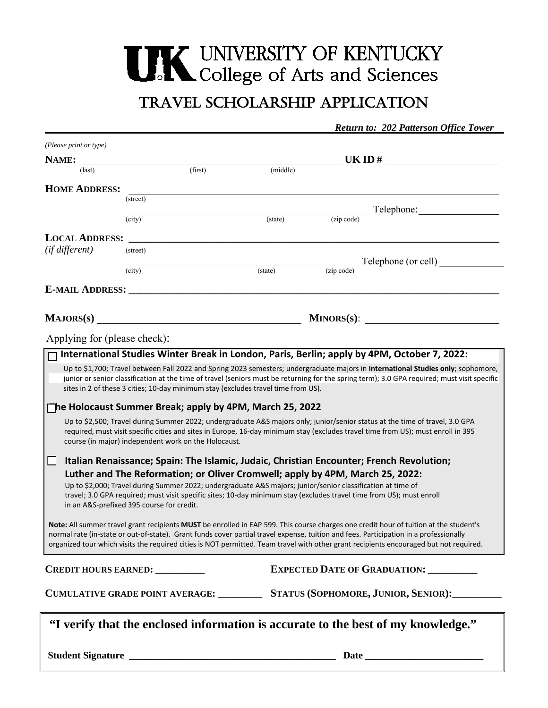## **THE UNIVERSITY OF KENTUCKY**<br>College of Arts and Sciences

## Travel Scholarship application

*Return to: 202 Patterson Office Tower*

| (Please print or type)       |                                                                                                             |          |                                                                                                                                                                                                                                                                                   |  |  |
|------------------------------|-------------------------------------------------------------------------------------------------------------|----------|-----------------------------------------------------------------------------------------------------------------------------------------------------------------------------------------------------------------------------------------------------------------------------------|--|--|
| NAME:                        |                                                                                                             |          | UKID#                                                                                                                                                                                                                                                                             |  |  |
| (last)                       | (first)                                                                                                     | (middle) |                                                                                                                                                                                                                                                                                   |  |  |
| <b>HOME ADDRESS:</b>         |                                                                                                             |          |                                                                                                                                                                                                                                                                                   |  |  |
|                              | (street)                                                                                                    |          |                                                                                                                                                                                                                                                                                   |  |  |
|                              | (city)                                                                                                      | (state)  | (zip code)                                                                                                                                                                                                                                                                        |  |  |
| <b>LOCAL ADDRESS:</b>        |                                                                                                             |          |                                                                                                                                                                                                                                                                                   |  |  |
| (if different)               | (street)                                                                                                    |          |                                                                                                                                                                                                                                                                                   |  |  |
|                              |                                                                                                             |          | Telephone (or cell)                                                                                                                                                                                                                                                               |  |  |
|                              | (city)                                                                                                      | (state)  | (zip code)                                                                                                                                                                                                                                                                        |  |  |
|                              | <b>E-MAIL ADDRESS:</b>                                                                                      |          |                                                                                                                                                                                                                                                                                   |  |  |
|                              |                                                                                                             |          |                                                                                                                                                                                                                                                                                   |  |  |
|                              | MAJORS(s)                                                                                                   |          | $MINORS(s)$ :                                                                                                                                                                                                                                                                     |  |  |
| Applying for (please check): |                                                                                                             |          |                                                                                                                                                                                                                                                                                   |  |  |
|                              |                                                                                                             |          | International Studies Winter Break in London, Paris, Berlin; apply by 4PM, October 7, 2022:                                                                                                                                                                                       |  |  |
|                              |                                                                                                             |          |                                                                                                                                                                                                                                                                                   |  |  |
|                              |                                                                                                             |          | Up to \$1,700; Travel between Fall 2022 and Spring 2023 semesters; undergraduate majors in International Studies only; sophomore,<br>junior or senior classification at the time of travel (seniors must be returning for the spring term); 3.0 GPA required; must visit specific |  |  |
|                              | sites in 2 of these 3 cities; 10-day minimum stay (excludes travel time from US).                           |          |                                                                                                                                                                                                                                                                                   |  |  |
|                              | $\Box$ he Holocaust Summer Break; apply by 4PM, March 25, 2022                                              |          |                                                                                                                                                                                                                                                                                   |  |  |
|                              |                                                                                                             |          | Up to \$2,500; Travel during Summer 2022; undergraduate A&S majors only; junior/senior status at the time of travel, 3.0 GPA                                                                                                                                                      |  |  |
|                              |                                                                                                             |          | required, must visit specific cities and sites in Europe, 16-day minimum stay (excludes travel time from US); must enroll in 395                                                                                                                                                  |  |  |
|                              | course (in major) independent work on the Holocaust.                                                        |          |                                                                                                                                                                                                                                                                                   |  |  |
| ப                            |                                                                                                             |          | Italian Renaissance; Spain: The Islamic, Judaic, Christian Encounter; French Revolution;                                                                                                                                                                                          |  |  |
|                              | Luther and The Reformation; or Oliver Cromwell; apply by 4PM, March 25, 2022:                               |          |                                                                                                                                                                                                                                                                                   |  |  |
|                              | Up to \$2,000; Travel during Summer 2022; undergraduate A&S majors; junior/senior classification at time of |          |                                                                                                                                                                                                                                                                                   |  |  |
|                              | in an A&S-prefixed 395 course for credit.                                                                   |          | travel; 3.0 GPA required; must visit specific sites; 10-day minimum stay (excludes travel time from US); must enroll                                                                                                                                                              |  |  |
|                              |                                                                                                             |          |                                                                                                                                                                                                                                                                                   |  |  |
|                              |                                                                                                             |          | Note: All summer travel grant recipients MUST be enrolled in EAP 599. This course charges one credit hour of tuition at the student's                                                                                                                                             |  |  |
|                              |                                                                                                             |          | normal rate (in-state or out-of-state). Grant funds cover partial travel expense, tuition and fees. Participation in a professionally<br>organized tour which visits the required cities is NOT permitted. Team travel with other grant recipients encouraged but not required.   |  |  |
|                              |                                                                                                             |          |                                                                                                                                                                                                                                                                                   |  |  |
|                              | <b>CREDIT HOURS EARNED:</b> _________                                                                       |          | <b>EXPECTED DATE OF GRADUATION:</b>                                                                                                                                                                                                                                               |  |  |
|                              |                                                                                                             |          |                                                                                                                                                                                                                                                                                   |  |  |
|                              | CUMULATIVE GRADE POINT AVERAGE: ________                                                                    |          | STATUS (SOPHOMORE, JUNIOR, SENIOR):                                                                                                                                                                                                                                               |  |  |
|                              |                                                                                                             |          |                                                                                                                                                                                                                                                                                   |  |  |
|                              |                                                                                                             |          | "I verify that the enclosed information is accurate to the best of my knowledge."                                                                                                                                                                                                 |  |  |
|                              |                                                                                                             |          |                                                                                                                                                                                                                                                                                   |  |  |
|                              |                                                                                                             |          | Date $\_\_$                                                                                                                                                                                                                                                                       |  |  |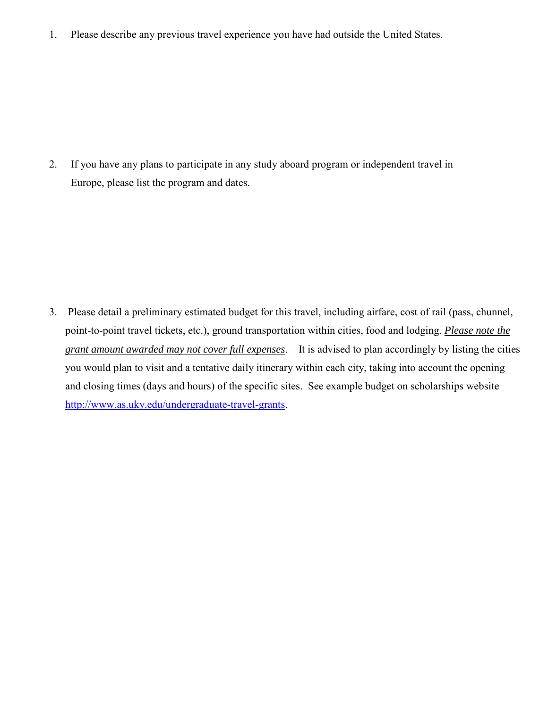1. Please describe any previous travel experience you have had outside the United States.

2. If you have any plans to participate in any study aboard program or independent travel in Europe, please list the program and dates.

3. Please detail a preliminary estimated budget for this travel, including airfare, cost of rail (pass, chunnel, point-to-point travel tickets, etc.), ground transportation within cities, food and lodging. *Please note the* <http://www.as.uky.edu/undergraduate-travel-grants>. *grant amount awarded may not cover full expenses*. It is advised to plan accordingly by listing the cities you would plan to visit and a tentative daily itinerary within each city, taking into account the opening and closing times (days and hours) of the specific sites. See example budget on scholarships website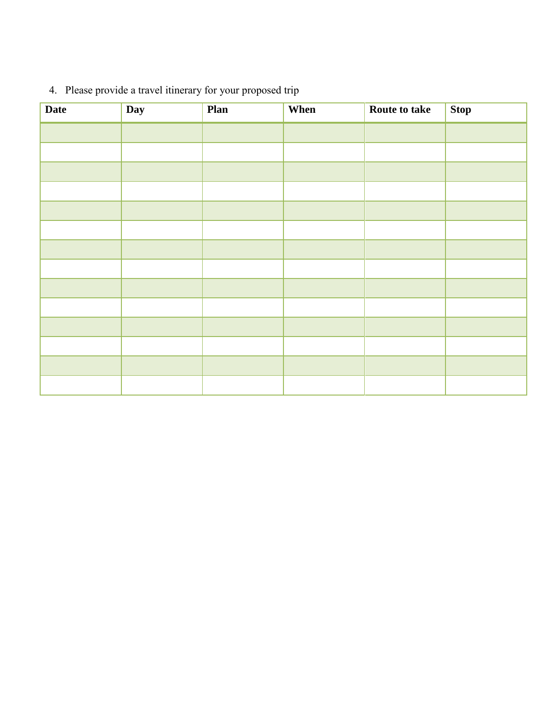| <b>Date</b> | Day | Plan | When | Route to take | <b>Stop</b> |
|-------------|-----|------|------|---------------|-------------|
|             |     |      |      |               |             |
|             |     |      |      |               |             |
|             |     |      |      |               |             |
|             |     |      |      |               |             |
|             |     |      |      |               |             |
|             |     |      |      |               |             |
|             |     |      |      |               |             |
|             |     |      |      |               |             |
|             |     |      |      |               |             |
|             |     |      |      |               |             |
|             |     |      |      |               |             |
|             |     |      |      |               |             |
|             |     |      |      |               |             |
|             |     |      |      |               |             |

## 4. Please provide a travel itinerary for your proposed trip